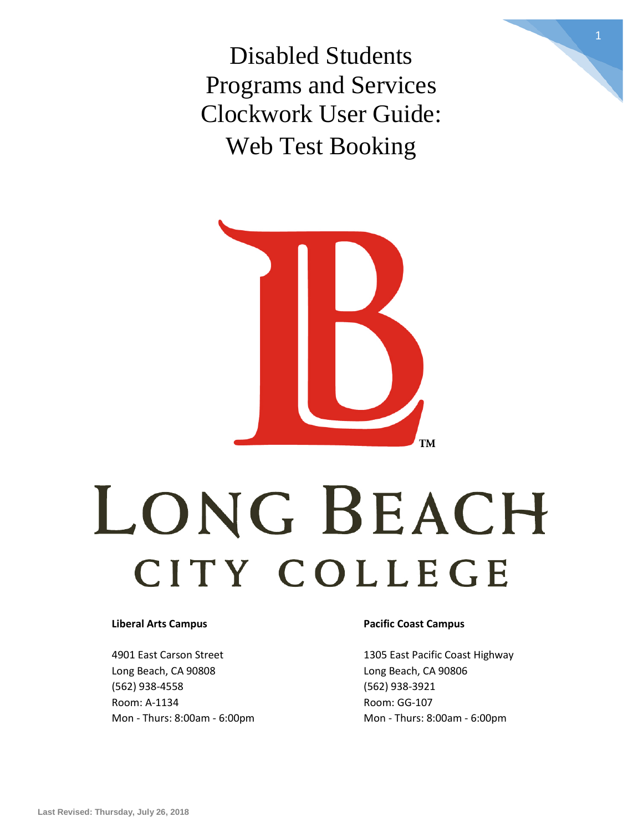Disabled Students Programs and Services Clockwork User Guide: Web Test Booking

1



# LONG BEACH CITY COLLEGE

4901 East Carson Street 1305 East Pacific Coast Highway Long Beach, CA 90808 Long Beach, CA 90806 (562) 938-4558 (562) 938-3921 Room: A-1134 Room: GG-107

#### **Liberal Arts Campus Pacific Coast Campus**

Mon - Thurs: 8:00am - 6:00pm Mon - Thurs: 8:00am - 6:00pm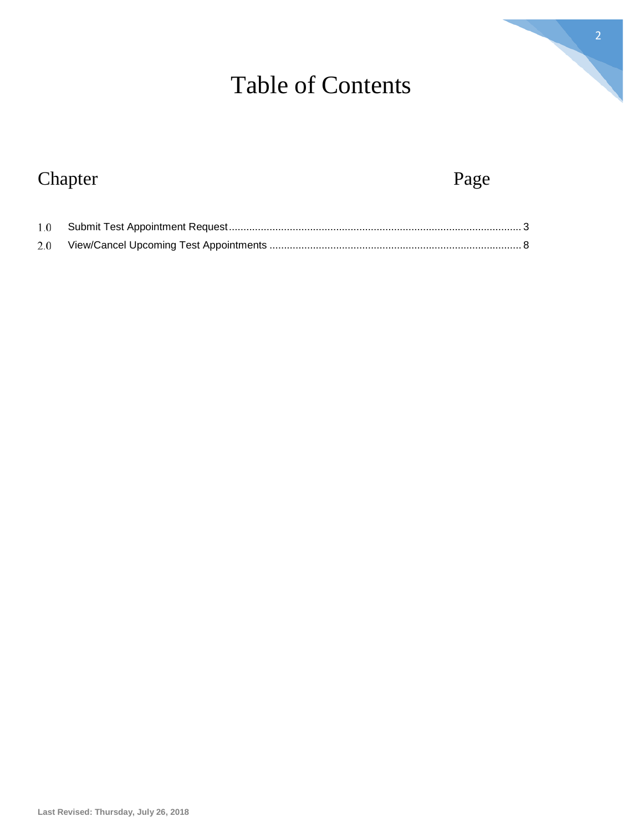# Table of Contents

# Chapter Page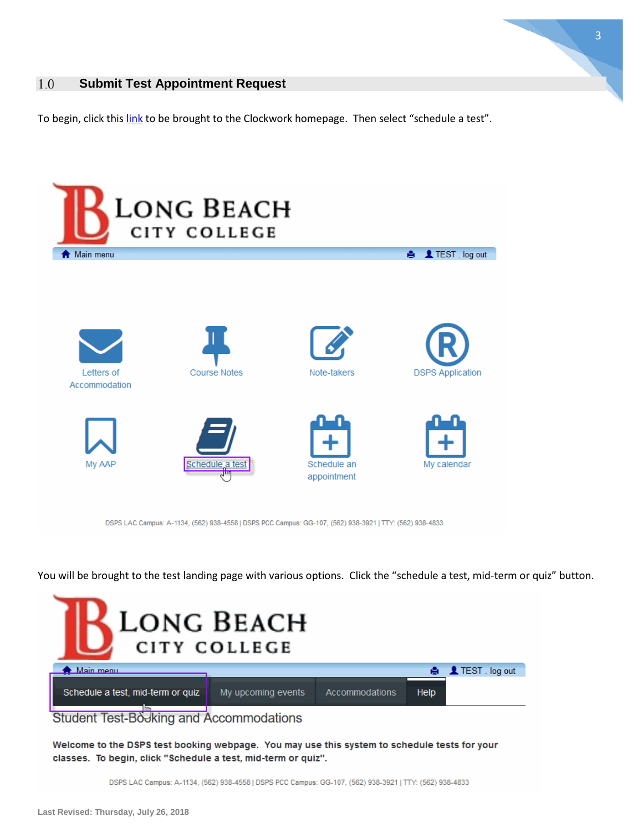

#### <span id="page-2-0"></span>**Submit Test Appointment Request** 1.0

To begin, click this [link](https://clockwork.lbcc.edu/ClockWork/custom/misc/home.aspx) to be brought to the Clockwork homepage. Then select "schedule a test".



DSPS LAC Campus: A-1134, (562) 938-4558 | DSPS PCC Campus: GG-107, (562) 938-3921 | TTY: (562) 938-4833

You will be brought to the test landing page with various options. Click the "schedule a test, mid-term or quiz" button.

| <b>LONG BEACH</b><br>CITY COLLEGE                                                            |                    |                |      |                           |  |  |
|----------------------------------------------------------------------------------------------|--------------------|----------------|------|---------------------------|--|--|
| <b>A</b> Main menu                                                                           |                    |                |      | ● <u>■</u> TEST . log out |  |  |
| Schedule a test, mid-term or quiz                                                            | My upcoming events | Accommodations | Help |                           |  |  |
| سرال<br>Student Test-Booking and Accommodations                                              |                    |                |      |                           |  |  |
| Welcome to the DSPS test booking webpage. You may use this system to schedule tests for your |                    |                |      |                           |  |  |

classes. To begin, click "Schedule a test, mid-term or quiz".

DSPS LAC Campus: A-1134, (562) 938-4558 | DSPS PCC Campus: GG-107, (562) 938-3921 | TTY: (562) 938-4833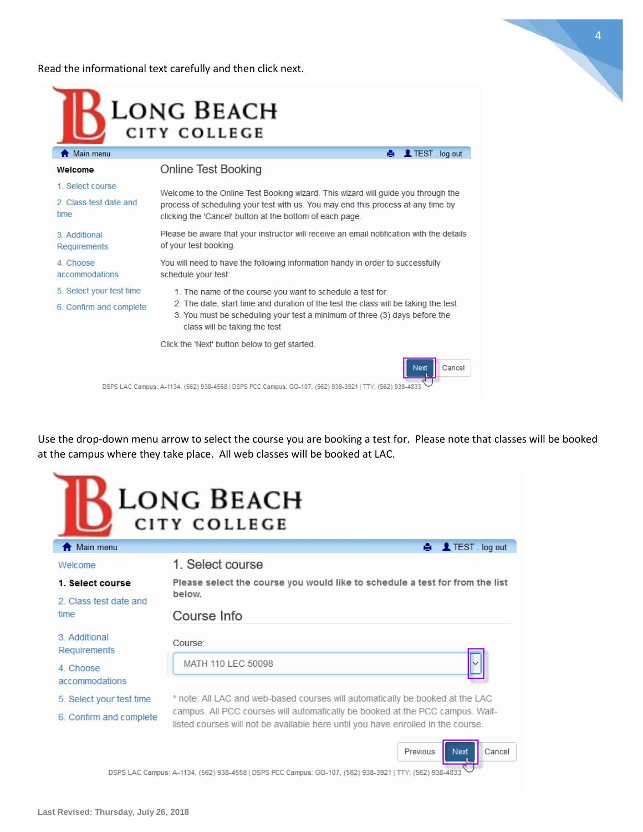Read the informational text carefully and then click next.



| Welcome                        | Online Test Booking                                                                                                                                                                                                               |  |  |  |
|--------------------------------|-----------------------------------------------------------------------------------------------------------------------------------------------------------------------------------------------------------------------------------|--|--|--|
| 1. Select course               | Welcome to the Online Test Booking wizard. This wizard will guide you through the<br>process of scheduling your test with us. You may end this process at any time by<br>clicking the 'Cancel' button at the bottom of each page. |  |  |  |
| 2. Class test date and<br>time |                                                                                                                                                                                                                                   |  |  |  |
| 3. Additional<br>Requirements  | Please be aware that your instructor will receive an email notification with the details<br>of your test booking.                                                                                                                 |  |  |  |
| 4. Choose<br>accommodations    | You will need to have the following information handy in order to successfully<br>schedule your test:                                                                                                                             |  |  |  |
| 5. Select your test time       | 1. The name of the course you want to schedule a test for                                                                                                                                                                         |  |  |  |
| 6. Confirm and complete        | 2. The date, start time and duration of the test the class will be taking the test<br>3. You must be scheduling your test a minimum of three (3) days before the<br>class will be taking the test                                 |  |  |  |
|                                | Click the 'Next' button below to get started.                                                                                                                                                                                     |  |  |  |
|                                | Cancel<br>Next                                                                                                                                                                                                                    |  |  |  |

DSPS LAC Campus: A-1134, (562) 938-4558 | DSPS PCC Campus: GG-107, (562) 938-3921 | TTY: (562) 938-4833

Use the drop-down menu arrow to select the course you are booking a test for. Please note that classes will be booked at the campus where they take place. All web classes will be booked at LAC.

● <u>1</u>LTEST . log out

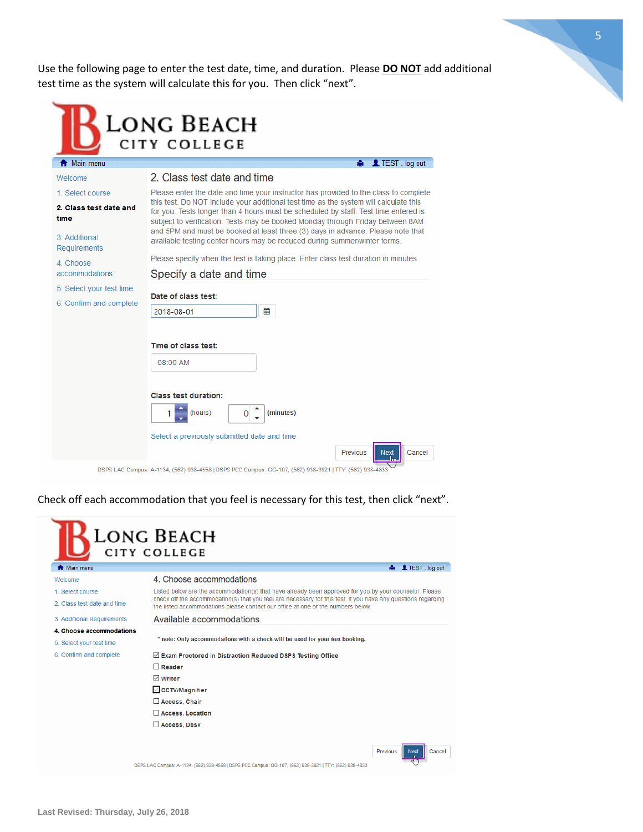Use the following page to enter the test date, time, and duration. Please **DO NOT** add additional test time as the system will calculate this for you. Then click "next".

5

| Main menu                   | ● <u>●</u> TEST . log out                                                                                                                                                                                                                                                                                                                              |  |  |  |
|-----------------------------|--------------------------------------------------------------------------------------------------------------------------------------------------------------------------------------------------------------------------------------------------------------------------------------------------------------------------------------------------------|--|--|--|
| Welcome                     | 2. Class test date and time                                                                                                                                                                                                                                                                                                                            |  |  |  |
| 1. Select course            | Please enter the date and time your instructor has provided to the class to complete<br>this test. Do NOT include your additional test time as the system will calculate this<br>for you. Tests longer than 4 hours must be scheduled by staff. Test time entered is<br>subject to verification. Tests may be booked Monday through Friday between 8AM |  |  |  |
| 2. Class test date and      |                                                                                                                                                                                                                                                                                                                                                        |  |  |  |
| time                        |                                                                                                                                                                                                                                                                                                                                                        |  |  |  |
| 3. Additional               | and 5PM and must be booked at least three (3) days in advance. Please note that<br>available testing center hours may be reduced during summer/winter terms.                                                                                                                                                                                           |  |  |  |
| Requirements                | Please specify when the test is taking place. Enter class test duration in minutes.                                                                                                                                                                                                                                                                    |  |  |  |
| 4. Choose<br>accommodations | Specify a date and time                                                                                                                                                                                                                                                                                                                                |  |  |  |
| 5. Select your test time    |                                                                                                                                                                                                                                                                                                                                                        |  |  |  |
| 6. Confirm and complete     | Date of class test:                                                                                                                                                                                                                                                                                                                                    |  |  |  |
|                             | 篇<br>2018-08-01                                                                                                                                                                                                                                                                                                                                        |  |  |  |
|                             |                                                                                                                                                                                                                                                                                                                                                        |  |  |  |
|                             | Time of class test:                                                                                                                                                                                                                                                                                                                                    |  |  |  |
|                             | 08:00 AM                                                                                                                                                                                                                                                                                                                                               |  |  |  |
|                             |                                                                                                                                                                                                                                                                                                                                                        |  |  |  |
|                             | <b>Class test duration:</b>                                                                                                                                                                                                                                                                                                                            |  |  |  |
|                             |                                                                                                                                                                                                                                                                                                                                                        |  |  |  |
|                             |                                                                                                                                                                                                                                                                                                                                                        |  |  |  |
|                             | (minutes)<br>(hours)<br>Select a previously submitted date and time                                                                                                                                                                                                                                                                                    |  |  |  |
|                             |                                                                                                                                                                                                                                                                                                                                                        |  |  |  |

Check off each accommodation that you feel is necessary for this test, then click "next".

|                             | Long Beach<br>CITY COLLEGE                                                                                                                                                                                               |  |  |  |
|-----------------------------|--------------------------------------------------------------------------------------------------------------------------------------------------------------------------------------------------------------------------|--|--|--|
| Main menu                   | <b>A</b> TEST . log out                                                                                                                                                                                                  |  |  |  |
| Welcome                     | 4. Choose accommodations                                                                                                                                                                                                 |  |  |  |
| 1. Select course            | Listed below are the accommodation(s) that have already been approved for you by your counselor. Please<br>check off the accommodation(s) that you feel are necessary for this test. If you have any questions regarding |  |  |  |
| 2. Class test date and time | the listed accommodations please contact our office at one of the numbers below.                                                                                                                                         |  |  |  |
| 3. Additional Requirements  | Available accommodations                                                                                                                                                                                                 |  |  |  |
| 4. Choose accommodations    |                                                                                                                                                                                                                          |  |  |  |
| 5. Select your test time    | * note: Only accommodations with a check will be used for your test booking.                                                                                                                                             |  |  |  |
| 6. Confirm and complete     | $\vee$ Exam Proctored in Distraction Reduced DSPS Testing Office                                                                                                                                                         |  |  |  |
|                             | $\Box$ Reader                                                                                                                                                                                                            |  |  |  |
|                             | $\sqrt{ }$ Writer                                                                                                                                                                                                        |  |  |  |
|                             | ○ CCTV/Magnifier                                                                                                                                                                                                         |  |  |  |
|                             | Access, Chair                                                                                                                                                                                                            |  |  |  |
|                             | Access, Location                                                                                                                                                                                                         |  |  |  |
|                             | Access, Desk                                                                                                                                                                                                             |  |  |  |
|                             | Previous<br>Cancel<br>Next<br>DSPS LAC Campus: A-1134, (562) 938-4558   DSPS PCC Campus: GG-107, (562) 938-3921   TTY: (562) 938-4833                                                                                    |  |  |  |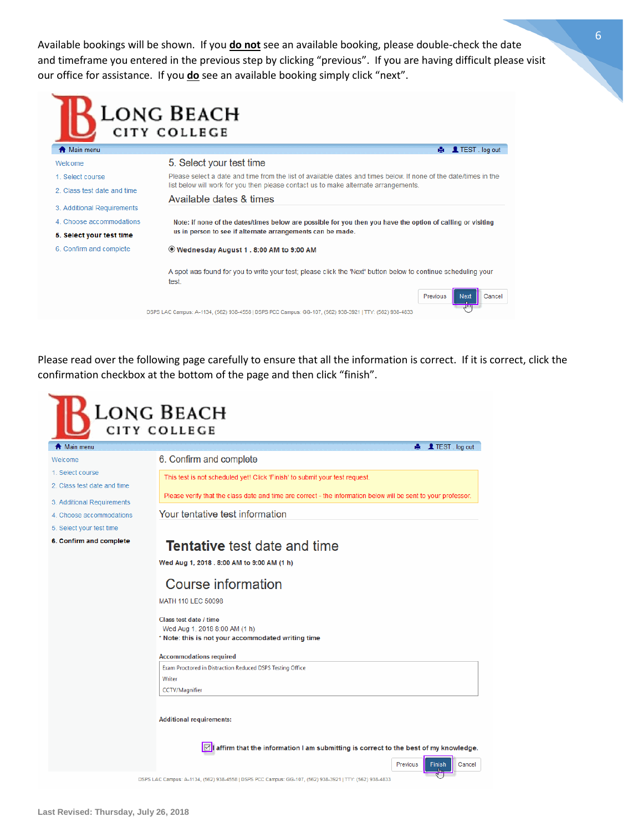Available bookings will be shown. If you **do not** see an available booking, please double-check the date and timeframe you entered in the previous step by clicking "previous". If you are having difficult please visit our office for assistance. If you **do** see an available booking simply click "next".

|                             | LONG BEACH<br>CITY COLLEGE                                                                                                                            |  |  |  |  |
|-----------------------------|-------------------------------------------------------------------------------------------------------------------------------------------------------|--|--|--|--|
| Main menu                   | TEST . log out<br>А.                                                                                                                                  |  |  |  |  |
| Welcome                     | 5. Select your test time                                                                                                                              |  |  |  |  |
| 1. Select course.           | Please select a date and time from the list of available dates and times below If none of the date/times in the                                       |  |  |  |  |
| 2. Class test date and time | list below will work for you then please contact us to make alternate arrangements.                                                                   |  |  |  |  |
|                             | Available dates & times                                                                                                                               |  |  |  |  |
| 3. Additional Requirements  |                                                                                                                                                       |  |  |  |  |
| 4. Choose accommodations    | Note: if none of the dates/times below are possible for you then you have the option of calling or visiting                                           |  |  |  |  |
| 5. Select your test time    | us in person to see if alternate arrangements can be made.                                                                                            |  |  |  |  |
| 6. Confirm and complete     | <sup>●</sup> Wednesday August 1 . 8:00 AM to 9:00 AM                                                                                                  |  |  |  |  |
|                             | A spot was found for you to write your test; please click the 'Next' button below to continue scheduling your<br>test.                                |  |  |  |  |
|                             | Cancel<br>Previous<br>Next<br>$A^{\rm eq}$<br>DSPS LAC Campus: A-1134, (562) 938-4558   DSPS PCC Campus: GG-107, (562) 938-3921   TTY: (562) 938-4833 |  |  |  |  |

Please read over the following page carefully to ensure that all the information is correct. If it is correct, click the confirmation checkbox at the bottom of the page and then click "finish".

|                             | LONG BEACH                                                                                                                              |  |  |  |
|-----------------------------|-----------------------------------------------------------------------------------------------------------------------------------------|--|--|--|
|                             | <b>CITY COLLEGE</b>                                                                                                                     |  |  |  |
| Main menu                   | <b>A</b> TEST log out                                                                                                                   |  |  |  |
| Welcome                     | 6. Confirm and complete                                                                                                                 |  |  |  |
| 1. Select course            | This test is not scheduled yet! Click 'Finish' to submit your test request.                                                             |  |  |  |
| 2. Class test date and time | Please verify that the class date and time are correct - the information below will be sent to your professor.                          |  |  |  |
| 3. Additional Requirements  |                                                                                                                                         |  |  |  |
| 4. Choose accommodations    | Your tentative test information                                                                                                         |  |  |  |
| 5. Select your test time    |                                                                                                                                         |  |  |  |
| 6. Confirm and complete     | <b>Tentative</b> test date and time                                                                                                     |  |  |  |
|                             | Wed Aug 1, 2018 . 8:00 AM to 9:00 AM (1 h)                                                                                              |  |  |  |
|                             | Course information                                                                                                                      |  |  |  |
|                             | MATH 110 LEC 50098                                                                                                                      |  |  |  |
|                             | Class test date / time                                                                                                                  |  |  |  |
|                             | Wed Aug 1, 2018 8:00 AM (1 h)                                                                                                           |  |  |  |
|                             | * Note: this is not your accommodated writing time                                                                                      |  |  |  |
|                             | <b>Accommodations required</b>                                                                                                          |  |  |  |
|                             | Exam Proctored in Distraction Reduced DSPS Testing Office                                                                               |  |  |  |
|                             | Writer                                                                                                                                  |  |  |  |
|                             | <b>CCTV/Magnifier</b>                                                                                                                   |  |  |  |
|                             | <b>Additional requirements:</b>                                                                                                         |  |  |  |
|                             | $ \varnothing $ affirm that the information I am submitting is correct to the best of my knowledge.                                     |  |  |  |
|                             | Previous<br>Cancel<br>Finish<br>DSPS LAC Campus: A-1134, (562) 938-4558   DSPS PCC Campus: GG-107, (562) 938-3921   TTY: (562) 938-4833 |  |  |  |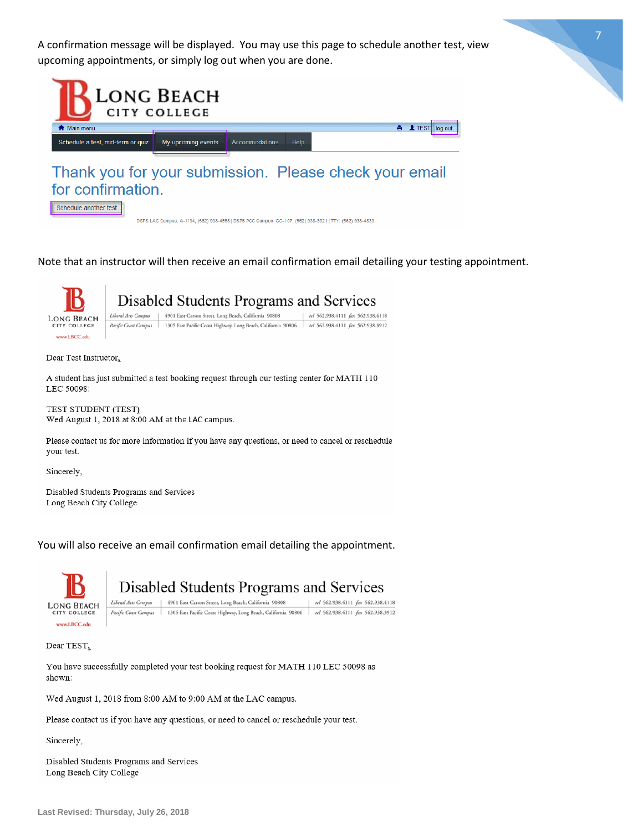A confirmation message will be displayed. You may use this page to schedule another test, view upcoming appointments, or simply log out when you are done.





### Thank you for your submission. Please check your email for confirmation.



DSPS LAC Campus: A-1134, (562) 938-4558 | DSPS PCC Campus: GG-107, (562) 938-3921 | TTY: (562) 938-4833

Note that an instructor will then receive an email confirmation email detailing your testing appointment.



## Disabled Students Programs and Services



Dear Test Instructor,

A student has just submitted a test booking request through our testing center for MATH 110 LEC 50098:

TEST STUDENT (TEST) Wed August 1, 2018 at 8:00 AM at the LAC campus.

Please contact us for more information if you have any questions, or need to cancel or reschedule your test.

Sincerely,

Disabled Students Programs and Services Long Beach City College

You will also receive an email confirmation email detailing the appointment.



### Disabled Students Programs and Services

Liberal Arts Campus | 4901 East Carson Street, Long Beach, California 90808 tel 562.938.4111 fax 562.938.4118 Pacific Coast Campus | 1305 East Pacific Coast Highway, Long Beach, California 90806 | tel 562.938.4111 fax 562.938.3912

Dear TEST,

You have successfully completed your test booking request for MATH 110 LEC 50098 as shown:

Wed August 1, 2018 from 8:00 AM to 9:00 AM at the LAC campus.

Please contact us if you have any questions, or need to cancel or reschedule your test.

Sincerely,

Disabled Students Programs and Services Long Beach City College